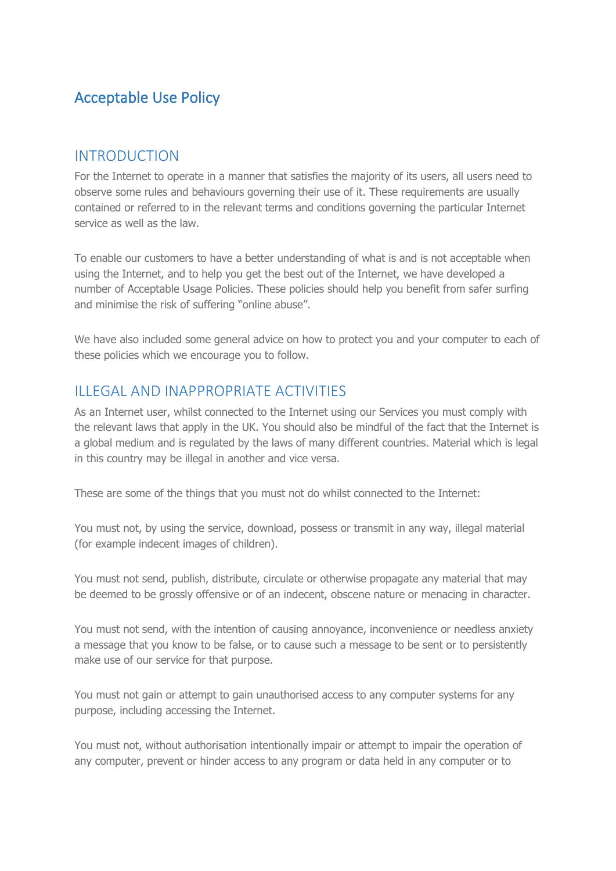# Acceptable Use Policy

#### INTRODUCTION

For the Internet to operate in a manner that satisfies the majority of its users, all users need to observe some rules and behaviours governing their use of it. These requirements are usually contained or referred to in the relevant terms and conditions governing the particular Internet service as well as the law.

To enable our customers to have a better understanding of what is and is not acceptable when using the Internet, and to help you get the best out of the Internet, we have developed a number of Acceptable Usage Policies. These policies should help you benefit from safer surfing and minimise the risk of suffering "online abuse".

We have also included some general advice on how to protect you and your computer to each of these policies which we encourage you to follow.

#### ILLEGAL AND INAPPROPRIATE ACTIVITIES

As an Internet user, whilst connected to the Internet using our Services you must comply with the relevant laws that apply in the UK. You should also be mindful of the fact that the Internet is a global medium and is regulated by the laws of many different countries. Material which is legal in this country may be illegal in another and vice versa.

These are some of the things that you must not do whilst connected to the Internet:

You must not, by using the service, download, possess or transmit in any way, illegal material (for example indecent images of children).

You must not send, publish, distribute, circulate or otherwise propagate any material that may be deemed to be grossly offensive or of an indecent, obscene nature or menacing in character.

You must not send, with the intention of causing annoyance, inconvenience or needless anxiety a message that you know to be false, or to cause such a message to be sent or to persistently make use of our service for that purpose.

You must not gain or attempt to gain unauthorised access to any computer systems for any purpose, including accessing the Internet.

You must not, without authorisation intentionally impair or attempt to impair the operation of any computer, prevent or hinder access to any program or data held in any computer or to